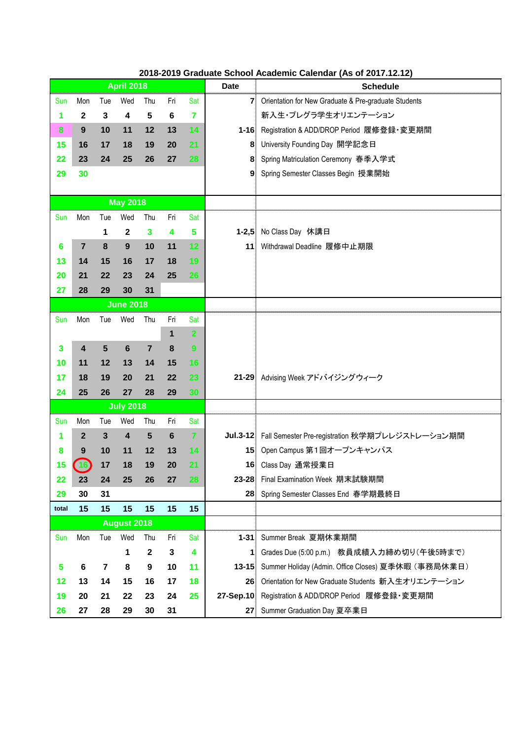| 2018-2019 Graduate School Academic Calendar (As of 2017.12.12) |  |
|----------------------------------------------------------------|--|
|                                                                |  |

|                    | <b>April 2018</b>       |                         |                        |                |              |                | <b>Date</b>     | <b>Schedule</b>                                           |
|--------------------|-------------------------|-------------------------|------------------------|----------------|--------------|----------------|-----------------|-----------------------------------------------------------|
| Sun                | Mon                     | Tue                     | Wed                    | Thu            | Fri          | Sat            |                 | 7 Orientation for New Graduate & Pre-graduate Students    |
| 1                  | 2                       | 3                       | 4                      | 5              | 6            | 7              |                 | 新入生・プレグラ学生オリエンテーション                                       |
| 8                  | 9                       | 10                      | 11                     | 12             | 13           | 14             |                 | 1-16 Registration & ADD/DROP Period 履修登録·変更期間             |
| 15                 | 16                      | 17                      | 18                     | 19             | 20           | 21             |                 | 8 University Founding Day 開学記念日                           |
| 22                 | 23                      | 24                      | 25                     | 26             | 27           | 28             |                 | 8 Spring Matriculation Ceremony 春季入学式                     |
| 29                 | 30                      |                         |                        |                |              |                |                 | 9 Spring Semester Classes Begin 授業開始                      |
|                    |                         |                         |                        |                |              |                |                 |                                                           |
|                    |                         |                         | <b>May 2018</b>        |                |              |                |                 |                                                           |
| Sun                | Mon                     | Tue                     | Wed                    | Thu            | Fri          | Sat            |                 |                                                           |
|                    |                         | 1                       | $\mathbf{2}$           | $\mathbf{3}$   | 4            | 5              |                 | 1-2,5 No Class Day 休講日                                    |
| 6                  | $\overline{7}$          | 8                       | 9                      | 10             | 11           | 12             |                 | 11 Withdrawal Deadline 履修中止期限                             |
| 13                 | 14                      | 15                      | 16                     | 17             | 18           | 19             |                 |                                                           |
| 20                 | 21                      | 22                      | 23                     | 24             | 25           | 26             |                 |                                                           |
| 27                 | 28                      | 29                      | 30                     | 31             |              |                |                 |                                                           |
| <b>June 2018</b>   |                         |                         |                        |                |              |                |                 |                                                           |
| Sun                | Mon                     | Tue                     | Wed                    | Thu            | Fri          | Sat            |                 |                                                           |
|                    |                         |                         |                        |                | 1            | $\overline{2}$ |                 |                                                           |
| 3                  | $\overline{\mathbf{4}}$ | $5\phantom{1}$          | 6                      | $\overline{7}$ | 8            | 9              |                 |                                                           |
| 10                 | 11                      | 12                      | 13                     | 14             | 15           | 16             |                 |                                                           |
| 17                 | 18                      | 19                      | 20                     | 21             | 22           | 23             |                 | 21-29 Advising Week アドバイジングウィーク                           |
| 24                 | 25                      | 26                      | 27                     | 28             | 29           | 30             |                 |                                                           |
|                    |                         |                         | <b>July 2018</b>       |                |              |                |                 |                                                           |
| Sun                | Mon                     | Tue                     | Wed                    | Thu            | Fri          | Sat            |                 |                                                           |
| 1                  | $\overline{2}$          | 3                       | $\boldsymbol{\Lambda}$ | 5              | 6            | 7              |                 | Jul.3-12 Fall Semester Pre-registration 秋学期プレレジストレーション期間  |
| 8                  | 9                       | 10                      | 11                     | 12             | 13           | 14             |                 | 15 Open Campus 第1回オープンキャンパス                               |
| 15                 | $\vert$ 16)             | 17                      | 18                     | 19             | 20           | 21             |                 | 16 Class Day 通常授業日                                        |
| 22                 | 23                      | 24                      | 25                     | 26             | 27           | 28             |                 | 23-28 Final Examination Week 期末試験期間                       |
| 29                 | 30                      | 31                      |                        |                |              |                |                 | 28 Spring Semester Classes End 春学期最終日                     |
| total              | 15                      | 15                      | 15                     | 15             | 15           | 15             |                 |                                                           |
| <b>August 2018</b> |                         |                         |                        |                |              |                |                 |                                                           |
| Sun                | Mon                     | Tue                     | Wed                    | Thu            | Fri          | Sat            |                 | 1-31 Summer Break 夏期休業期間                                  |
|                    |                         |                         | 1                      | $\mathbf{2}$   | $\mathbf{3}$ | 4              |                 | 1 Grades Due (5:00 p.m.) 教員成績入力締め切り(午後5時まで)               |
| 5                  | 6                       | $\overline{\mathbf{r}}$ | 8                      | 9              | 10           | 11             |                 | 13-15 Summer Holiday (Admin. Office Closes) 夏季休暇 (事務局休業日) |
| 12                 | 13                      | 14                      | 15                     | 16             | 17           | 18             |                 | 26 Orientation for New Graduate Students 新入生オリエンテーション     |
| 19                 | 20                      | 21                      | 22                     | 23             | 24           | 25             |                 | 27-Sep.10 Registration & ADD/DROP Period 履修登録·変更期間        |
| 26                 | 27                      | 28                      | 29                     | 30             | 31           |                | 27 <sub>1</sub> | Summer Graduation Day 夏卒業日                                |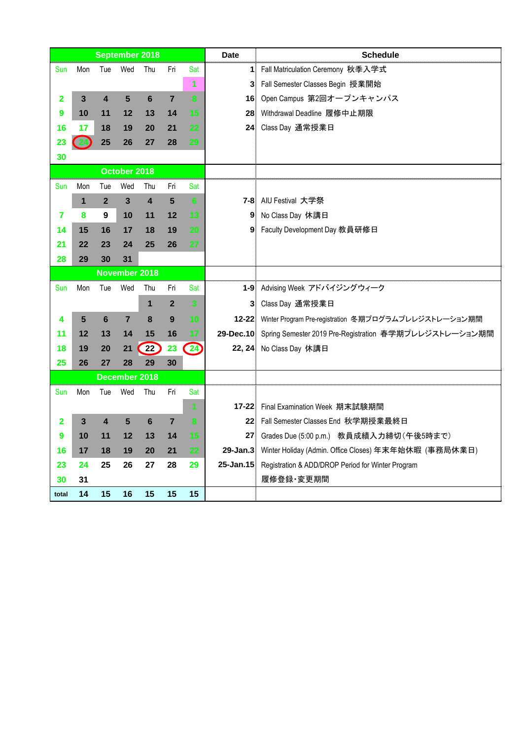|       |              |                         |                      | <b>September 2018</b>   |                |                         | <b>Date</b> | <b>Schedule</b>                                                  |
|-------|--------------|-------------------------|----------------------|-------------------------|----------------|-------------------------|-------------|------------------------------------------------------------------|
| Sun   | Mon          | Tue                     | Wed                  | Thu                     | Fri            | Sat                     |             | 1 Fall Matriculation Ceremony 秋季入学式                              |
|       |              |                         |                      |                         |                | 1                       |             | 3 Fall Semester Classes Begin 授業開始                               |
| 2     | 3            | $\overline{\mathbf{4}}$ | 5                    | $6\phantom{1}$          | $\overline{7}$ | $\bf{8}$                |             | 16 Open Campus 第2回オープンキャンパス                                      |
| 9     | 10           | 11                      | 12                   | 13                      | 14             | 15                      |             | 28 Withdrawal Deadline 履修中止期限                                    |
| 16    | 17           | 18                      | 19                   | 20                      | 21             | 22                      |             | 24 Class Day 通常授業日                                               |
| 23    |              | 25                      | 26                   | 27                      | 28             | 29                      |             |                                                                  |
| 30    |              |                         |                      |                         |                |                         |             |                                                                  |
|       |              |                         | October 2018         |                         |                |                         |             |                                                                  |
| Sun   | Mon          | Tue                     | Wed                  | Thu                     | Fri            | Sat                     |             |                                                                  |
|       | $\mathbf{1}$ | $\overline{2}$          | $\mathbf{3}$         | $\overline{\mathbf{4}}$ | 5              | 6                       |             | 7-8 AIU Festival 大学祭                                             |
| 7     | 8            | 9                       | 10                   | 11                      | 12             | 13                      |             | 9 No Class Day 休講日                                               |
| 14    | 15           | 16                      | 17                   | 18                      | 19             | 20                      |             | 9 Faculty Development Day 教員研修日                                  |
| 21    | 22           | 23                      | 24                   | 25                      | 26             | 27                      |             |                                                                  |
| 28    | 29           | 30                      | 31                   |                         |                |                         |             |                                                                  |
|       |              |                         | <b>November 2018</b> |                         |                |                         |             |                                                                  |
| Sun   | Mon          | Tue                     | Wed                  | Thu                     | Fri            | Sat                     |             | 1-9 Advising Week アドバイジングウィーク                                    |
|       |              |                         |                      | 1                       | $\overline{2}$ | $\overline{\mathbf{3}}$ |             | 3 Class Day 通常授業日                                                |
| 4     | 5            | 6                       | 7                    | 8                       | 9              | 10                      |             | 12-22 Winter Program Pre-registration 冬期プログラムプレレジストレーション期間       |
| 11    | 12           | 13                      | 14                   | 15                      | 16             | 17                      |             | 29-Dec.10 Spring Semester 2019 Pre-Registration 春学期プレレジストレーション期間 |
| 18    | 19           | 20                      | 21                   | $\left( 22\right)$      | 23             | $\left( 24\right)$      |             | 22, 24 No Class Day 休講日                                          |
| 25    | 26           | 27                      | 28                   | 29                      | 30             |                         |             |                                                                  |
|       |              |                         | December 2018        |                         |                |                         |             |                                                                  |
| Sun   | Mon          | Tue                     | Wed                  | Thu                     | Fri            | Sat                     |             |                                                                  |
|       |              |                         |                      |                         |                | 1                       |             | 17-22 Final Examination Week 期末試験期間                              |
| 2     | $\mathbf{3}$ | $\overline{\mathbf{4}}$ | 5                    | $6\phantom{1}$          | $\overline{7}$ | $\bf{8}$                |             | 22 Fall Semester Classes End 秋学期授業最終日                            |
| 9     | 10           | 11                      | 12                   | 13                      | 14             | 15                      |             | 27 Grades Due (5:00 p.m.) 教員成績入力締切 (午後5時まで)                      |
| 16    | 17           | 18                      | 19                   | 20                      | 21             | 22                      |             | 29-Jan.3 Winter Holiday (Admin. Office Closes) 年末年始休暇 (事務局休業日)   |
| 23    | 24           | 25                      | 26                   | 27                      | 28             | 29                      |             | 25-Jan.15 Registration & ADD/DROP Period for Winter Program      |
| 30    | 31           |                         |                      |                         |                |                         |             | 履修登録·変更期間                                                        |
| total | 14           | 15                      | 16                   | 15                      | 15             | 15                      |             |                                                                  |